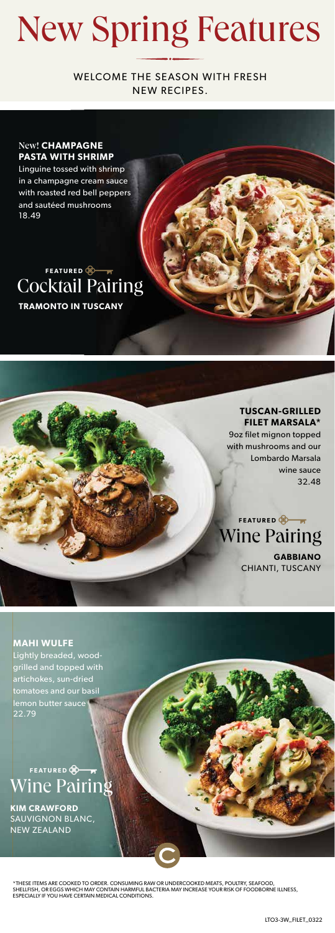## New Spring Features

WELCOME THE SEASON WITH FRESH NEW RECIPES.

#### New! **CHAMPAGNE PASTA WITH SHRIMP**

Linguine tossed with shrimp in a champagne cream sauce with roasted red bell peppers and sautéed mushrooms 18.49

### **TRAMONTO IN TUSCANY** Cocktail Pairing **FEATURED**

**TUSCAN-GRILLED FILET MARSALA\*** 9oz filet mignon topped with mushrooms and our Lombardo Marsala wine sauce 32.48

**GABBIANO**  CHIANTI, TUSCANY Wine Pairing

**FEATURED** 

**MAHI WULFE** Lightly breaded, woodgrilled and topped with artichokes, sun-dried tomatoes and our basil lemon butter sauce 22.79

Wine Pairing **FEATURED** 

**KIM CRAWFORD**  SAUVIGNON BLANC, NEW ZEALAND

\*THESE ITEMS ARE COOKED TO ORDER. CONSUMING RAW OR UNDERCOOKED MEATS, POULTRY, SEAFOOD, SHELLFISH, OR EGGS WHICH MAY CONTAIN HARMFUL BACTERIA MAY INCREASE YOUR RISK OF FOODBORNE ILLNESS,<br>ESPECIALLY IF YOU HAVE CERTAIN MEDICAL CONDITIONS.